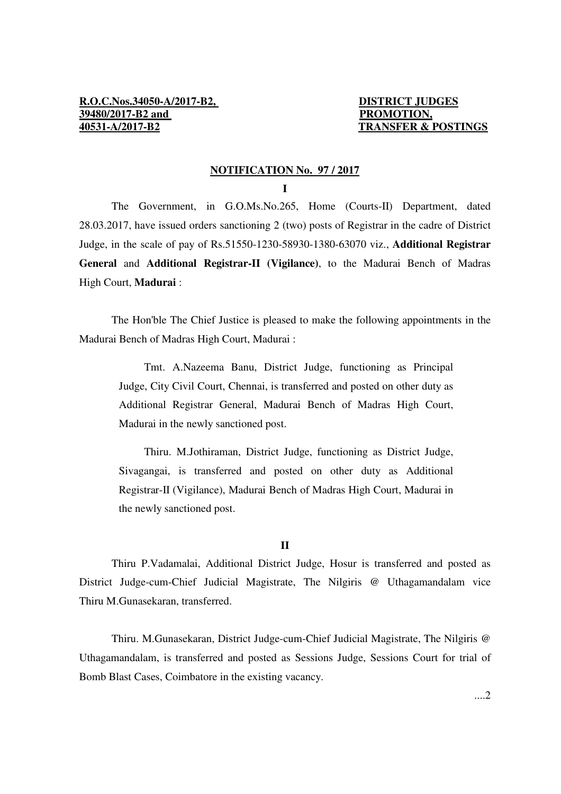#### **NOTIFICATION No. 97 / 2017**

**I** 

 The Government, in G.O.Ms.No.265, Home (Courts-II) Department, dated 28.03.2017, have issued orders sanctioning 2 (two) posts of Registrar in the cadre of District Judge, in the scale of pay of Rs.51550-1230-58930-1380-63070 viz., **Additional Registrar General** and **Additional Registrar-II (Vigilance)**, to the Madurai Bench of Madras High Court, **Madurai** :

 The Hon'ble The Chief Justice is pleased to make the following appointments in the Madurai Bench of Madras High Court, Madurai :

 Tmt. A.Nazeema Banu, District Judge, functioning as Principal Judge, City Civil Court, Chennai, is transferred and posted on other duty as Additional Registrar General, Madurai Bench of Madras High Court, Madurai in the newly sanctioned post.

 Thiru. M.Jothiraman, District Judge, functioning as District Judge, Sivagangai, is transferred and posted on other duty as Additional Registrar-II (Vigilance), Madurai Bench of Madras High Court, Madurai in the newly sanctioned post.

#### **II**

 Thiru P.Vadamalai, Additional District Judge, Hosur is transferred and posted as District Judge-cum-Chief Judicial Magistrate, The Nilgiris @ Uthagamandalam vice Thiru M.Gunasekaran, transferred.

 Thiru. M.Gunasekaran, District Judge-cum-Chief Judicial Magistrate, The Nilgiris @ Uthagamandalam, is transferred and posted as Sessions Judge, Sessions Court for trial of Bomb Blast Cases, Coimbatore in the existing vacancy.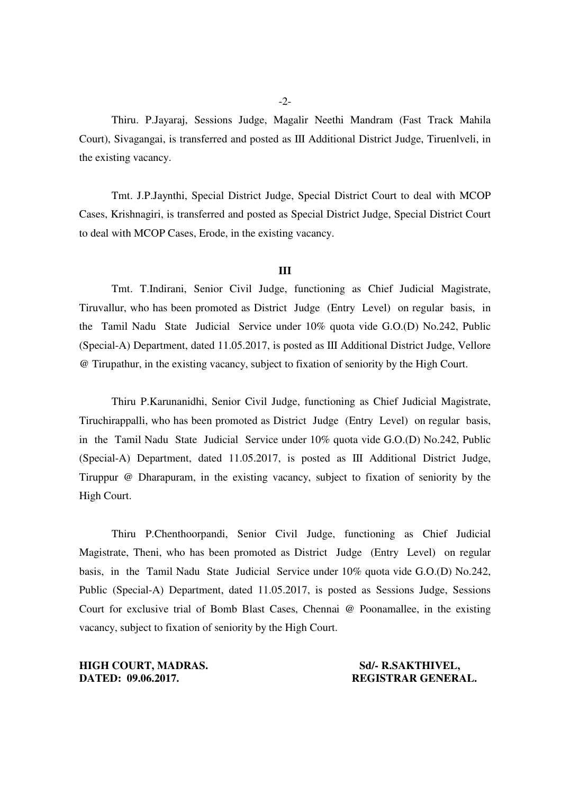Thiru. P.Jayaraj, Sessions Judge, Magalir Neethi Mandram (Fast Track Mahila Court), Sivagangai, is transferred and posted as III Additional District Judge, Tiruenlveli, in the existing vacancy.

 Tmt. J.P.Jaynthi, Special District Judge, Special District Court to deal with MCOP Cases, Krishnagiri, is transferred and posted as Special District Judge, Special District Court to deal with MCOP Cases, Erode, in the existing vacancy.

#### **III**

 Tmt. T.Indirani, Senior Civil Judge, functioning as Chief Judicial Magistrate, Tiruvallur, who has been promoted as District Judge (Entry Level) on regular basis, in the Tamil Nadu State Judicial Service under 10% quota vide G.O.(D) No.242, Public (Special-A) Department, dated 11.05.2017, is posted as III Additional District Judge, Vellore @ Tirupathur, in the existing vacancy, subject to fixation of seniority by the High Court.

 Thiru P.Karunanidhi, Senior Civil Judge, functioning as Chief Judicial Magistrate, Tiruchirappalli, who has been promoted as District Judge (Entry Level) on regular basis, in the Tamil Nadu State Judicial Service under 10% quota vide G.O.(D) No.242, Public (Special-A) Department, dated 11.05.2017, is posted as III Additional District Judge, Tiruppur @ Dharapuram, in the existing vacancy, subject to fixation of seniority by the High Court.

 Thiru P.Chenthoorpandi, Senior Civil Judge, functioning as Chief Judicial Magistrate, Theni, who has been promoted as District Judge (Entry Level) on regular basis, in the Tamil Nadu State Judicial Service under 10% quota vide G.O.(D) No.242, Public (Special-A) Department, dated 11.05.2017, is posted as Sessions Judge, Sessions Court for exclusive trial of Bomb Blast Cases, Chennai @ Poonamallee, in the existing vacancy, subject to fixation of seniority by the High Court.

**HIGH COURT, MADRAS.** Sd/- R.SAKTHIVEL,<br>
DATED: 09.06.2017. REGISTRAR GENER

**DATED: 09.06.2017. REGISTRAR GENERAL.**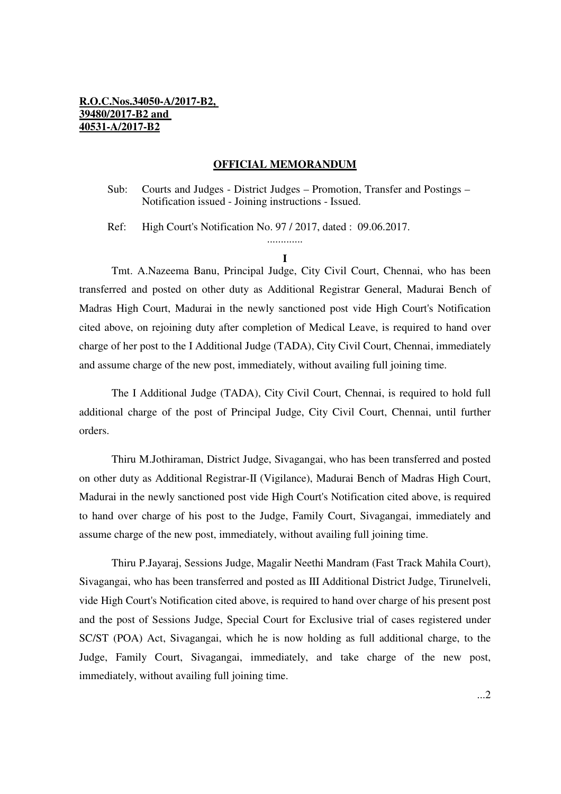### **R.O.C.Nos.34050-A/2017-B2, 39480/2017-B2 and 40531-A/2017-B2**

#### **OFFICIAL MEMORANDUM**

Sub: Courts and Judges - District Judges – Promotion, Transfer and Postings – Notification issued - Joining instructions - Issued.

Ref: High Court's Notification No. 97 / 2017, dated : 09.06.2017.

### ............. **I**

 Tmt. A.Nazeema Banu, Principal Judge, City Civil Court, Chennai, who has been transferred and posted on other duty as Additional Registrar General, Madurai Bench of Madras High Court, Madurai in the newly sanctioned post vide High Court's Notification cited above, on rejoining duty after completion of Medical Leave, is required to hand over charge of her post to the I Additional Judge (TADA), City Civil Court, Chennai, immediately and assume charge of the new post, immediately, without availing full joining time.

 The I Additional Judge (TADA), City Civil Court, Chennai, is required to hold full additional charge of the post of Principal Judge, City Civil Court, Chennai, until further orders.

 Thiru M.Jothiraman, District Judge, Sivagangai, who has been transferred and posted on other duty as Additional Registrar-II (Vigilance), Madurai Bench of Madras High Court, Madurai in the newly sanctioned post vide High Court's Notification cited above, is required to hand over charge of his post to the Judge, Family Court, Sivagangai, immediately and assume charge of the new post, immediately, without availing full joining time.

 Thiru P.Jayaraj, Sessions Judge, Magalir Neethi Mandram (Fast Track Mahila Court), Sivagangai, who has been transferred and posted as III Additional District Judge, Tirunelveli, vide High Court's Notification cited above, is required to hand over charge of his present post and the post of Sessions Judge, Special Court for Exclusive trial of cases registered under SC/ST (POA) Act, Sivagangai, which he is now holding as full additional charge, to the Judge, Family Court, Sivagangai, immediately, and take charge of the new post, immediately, without availing full joining time.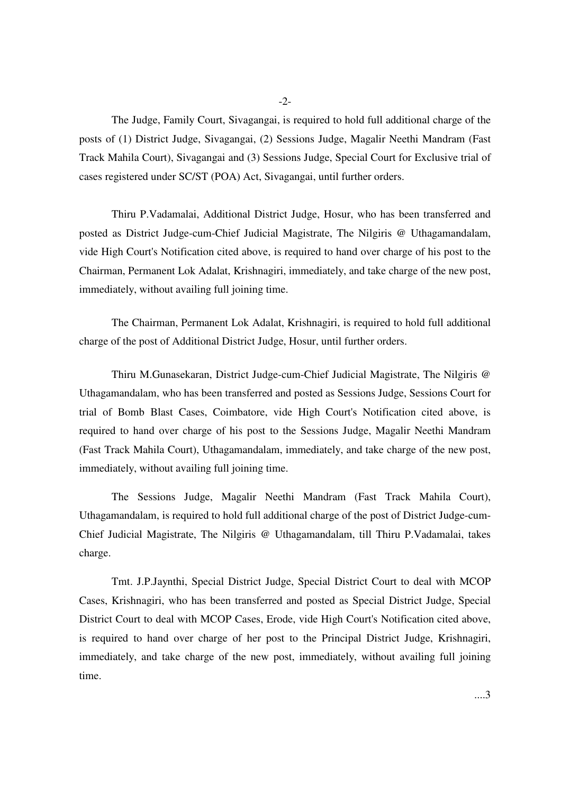$-2$ 

 The Judge, Family Court, Sivagangai, is required to hold full additional charge of the posts of (1) District Judge, Sivagangai, (2) Sessions Judge, Magalir Neethi Mandram (Fast Track Mahila Court), Sivagangai and (3) Sessions Judge, Special Court for Exclusive trial of cases registered under SC/ST (POA) Act, Sivagangai, until further orders.

 Thiru P.Vadamalai, Additional District Judge, Hosur, who has been transferred and posted as District Judge-cum-Chief Judicial Magistrate, The Nilgiris @ Uthagamandalam, vide High Court's Notification cited above, is required to hand over charge of his post to the Chairman, Permanent Lok Adalat, Krishnagiri, immediately, and take charge of the new post, immediately, without availing full joining time.

 The Chairman, Permanent Lok Adalat, Krishnagiri, is required to hold full additional charge of the post of Additional District Judge, Hosur, until further orders.

 Thiru M.Gunasekaran, District Judge-cum-Chief Judicial Magistrate, The Nilgiris @ Uthagamandalam, who has been transferred and posted as Sessions Judge, Sessions Court for trial of Bomb Blast Cases, Coimbatore, vide High Court's Notification cited above, is required to hand over charge of his post to the Sessions Judge, Magalir Neethi Mandram (Fast Track Mahila Court), Uthagamandalam, immediately, and take charge of the new post, immediately, without availing full joining time.

 The Sessions Judge, Magalir Neethi Mandram (Fast Track Mahila Court), Uthagamandalam, is required to hold full additional charge of the post of District Judge-cum-Chief Judicial Magistrate, The Nilgiris @ Uthagamandalam, till Thiru P.Vadamalai, takes charge.

 Tmt. J.P.Jaynthi, Special District Judge, Special District Court to deal with MCOP Cases, Krishnagiri, who has been transferred and posted as Special District Judge, Special District Court to deal with MCOP Cases, Erode, vide High Court's Notification cited above, is required to hand over charge of her post to the Principal District Judge, Krishnagiri, immediately, and take charge of the new post, immediately, without availing full joining time.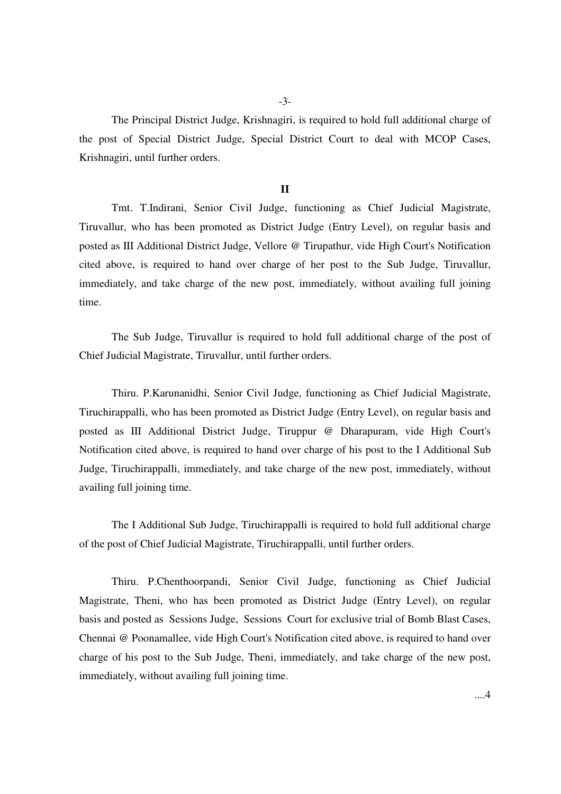-3-

 The Principal District Judge, Krishnagiri, is required to hold full additional charge of the post of Special District Judge, Special District Court to deal with MCOP Cases, Krishnagiri, until further orders.

#### **II**

 Tmt. T.Indirani, Senior Civil Judge, functioning as Chief Judicial Magistrate, Tiruvallur, who has been promoted as District Judge (Entry Level), on regular basis and posted as III Additional District Judge, Vellore @ Tirupathur, vide High Court's Notification cited above, is required to hand over charge of her post to the Sub Judge, Tiruvallur, immediately, and take charge of the new post, immediately, without availing full joining time.

 The Sub Judge, Tiruvallur is required to hold full additional charge of the post of Chief Judicial Magistrate, Tiruvallur, until further orders.

 Thiru. P.Karunanidhi, Senior Civil Judge, functioning as Chief Judicial Magistrate, Tiruchirappalli, who has been promoted as District Judge (Entry Level), on regular basis and posted as III Additional District Judge, Tiruppur @ Dharapuram, vide High Court's Notification cited above, is required to hand over charge of his post to the I Additional Sub Judge, Tiruchirappalli, immediately, and take charge of the new post, immediately, without availing full joining time.

 The I Additional Sub Judge, Tiruchirappalli is required to hold full additional charge of the post of Chief Judicial Magistrate, Tiruchirappalli, until further orders.

 Thiru. P.Chenthoorpandi, Senior Civil Judge, functioning as Chief Judicial Magistrate, Theni, who has been promoted as District Judge (Entry Level), on regular basis and posted as Sessions Judge, Sessions Court for exclusive trial of Bomb Blast Cases, Chennai @ Poonamallee, vide High Court's Notification cited above, is required to hand over charge of his post to the Sub Judge, Theni, immediately, and take charge of the new post, immediately, without availing full joining time.